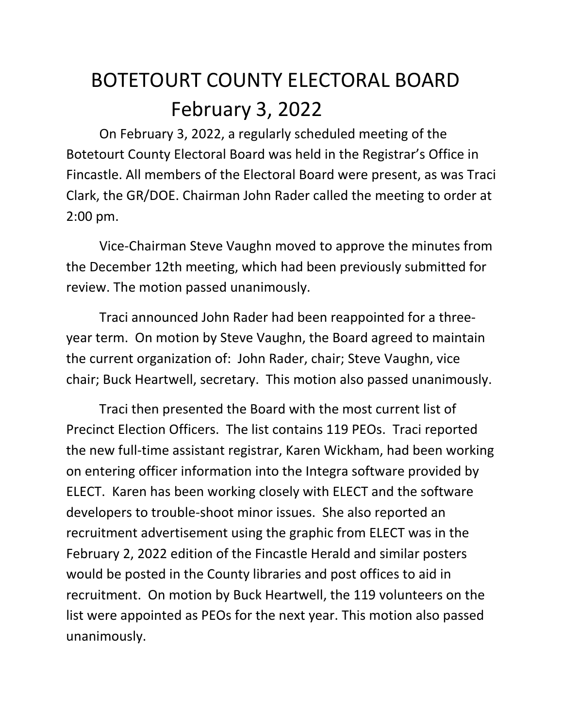## BOTETOURT COUNTY ELECTORAL BOARD February 3, 2022

On February 3, 2022, a regularly scheduled meeting of the Botetourt County Electoral Board was held in the Registrar's Office in Fincastle. All members of the Electoral Board were present, as was Traci Clark, the GR/DOE. Chairman John Rader called the meeting to order at 2:00 pm.

Vice-Chairman Steve Vaughn moved to approve the minutes from the December 12th meeting, which had been previously submitted for review. The motion passed unanimously.

Traci announced John Rader had been reappointed for a threeyear term. On motion by Steve Vaughn, the Board agreed to maintain the current organization of: John Rader, chair; Steve Vaughn, vice chair; Buck Heartwell, secretary. This motion also passed unanimously.

Traci then presented the Board with the most current list of Precinct Election Officers. The list contains 119 PEOs. Traci reported the new full-time assistant registrar, Karen Wickham, had been working on entering officer information into the Integra software provided by ELECT. Karen has been working closely with ELECT and the software developers to trouble-shoot minor issues. She also reported an recruitment advertisement using the graphic from ELECT was in the February 2, 2022 edition of the Fincastle Herald and similar posters would be posted in the County libraries and post offices to aid in recruitment. On motion by Buck Heartwell, the 119 volunteers on the list were appointed as PEOs for the next year. This motion also passed unanimously.